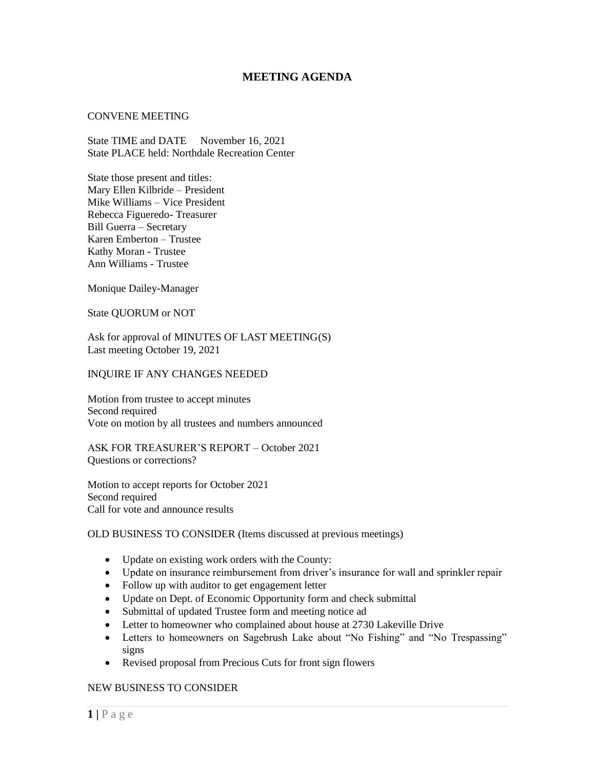# **MEETING AGENDA**

#### CONVENE MEETING

State TIME and DATE November 16, 2021 State PLACE held: Northdale Recreation Center

State those present and titles: Mary Ellen Kilbride – President Mike Williams – Vice President Rebecca Figueredo- Treasurer Bill Guerra – Secretary Karen Emberton – Trustee Kathy Moran - Trustee Ann Williams - Trustee

Monique Dailey-Manager

State QUORUM or NOT

Ask for approval of MINUTES OF LAST MEETING(S) Last meeting October 19, 2021

#### INQUIRE IF ANY CHANGES NEEDED

Motion from trustee to accept minutes Second required Vote on motion by all trustees and numbers announced

ASK FOR TREASURER'S REPORT – October 2021 Questions or corrections?

Motion to accept reports for October 2021 Second required Call for vote and announce results

## OLD BUSINESS TO CONSIDER (Items discussed at previous meetings)

- Update on existing work orders with the County:
- Update on insurance reimbursement from driver's insurance for wall and sprinkler repair
- Follow up with auditor to get engagement letter
- Update on Dept. of Economic Opportunity form and check submittal
- Submittal of updated Trustee form and meeting notice ad
- Letter to homeowner who complained about house at 2730 Lakeville Drive
- Letters to homeowners on Sagebrush Lake about "No Fishing" and "No Trespassing" signs
- Revised proposal from Precious Cuts for front sign flowers

### NEW BUSINESS TO CONSIDER